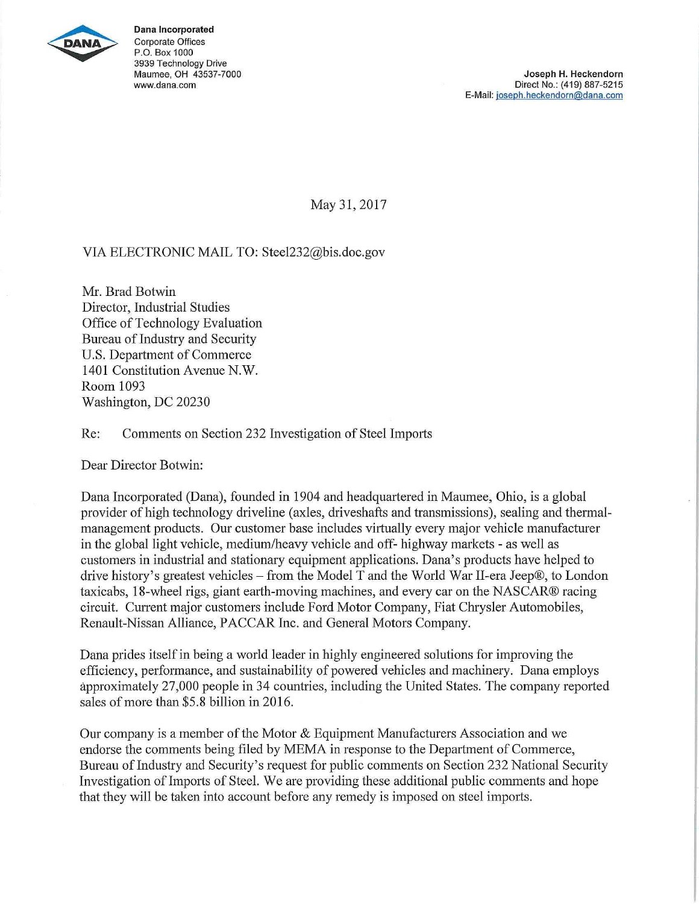

**Dana Incorporated**  Corporate Offices P.O. Box 1000 3939 Technology Drive Maumee, OH 43537-7000 www.dana.com

May 31, 2017

## VIA ELECTRONIC MAIL TO: Steel232@bis.doc.gov

Mr. Brad Botwin Director, Industrial Studies Office of Technology Evaluation Bureau of Industry and Security U.S. Department of Commerce 1401 Constitution Avenue N.W. Room 1093 Washington, DC 20230

Re: Comments on Section 232 Investigation of Steel Imports

Dear Director Botwin:

Dana Incorporated (Dana), founded in 1904 and headquartered in Maumee, Ohio, is a global provider of high technology driveline (axles, driveshafts and transmissions), sealing and thermalmanagement products. Our customer base includes virtually every major vehicle manufacturer in the global light vehicle, medium/heavy vehicle and off- highway markets - as well as customers in industrial and stationary equipment applications. Dana's products have helped to drive history's greatest vehicles – from the Model T and the World War II-era Jeep®, to London taxicabs, 18-wheel rigs, giant earth-moving machines, and every car on the NASCAR® racing circuit. Current major customers include Ford Motor Company, Fiat Chrysler Automobiles, Renault-Nissan Alliance, PACCAR Inc. and General Motors Company.

Dana prides itself in being a world leader in highly engineered solutions for improving the efficiency, performance, and sustainability of powered vehicles and machinery. Dana employs approximately 27,000 people in 34 countries, including the United States. The company reported sales of more than \$5.8 billion in 2016.

Our company is a member of the Motor & Equipment Manufacturers Association and we endorse the comments being filed by MEMA in response to the Department of Commerce, Bureau of Industry and Security's request for public comments on Section 232 National Security Investigation of Imports of Steel. We are providing these additional public comments and hope that they will be taken into account before any remedy is imposed on steel imports.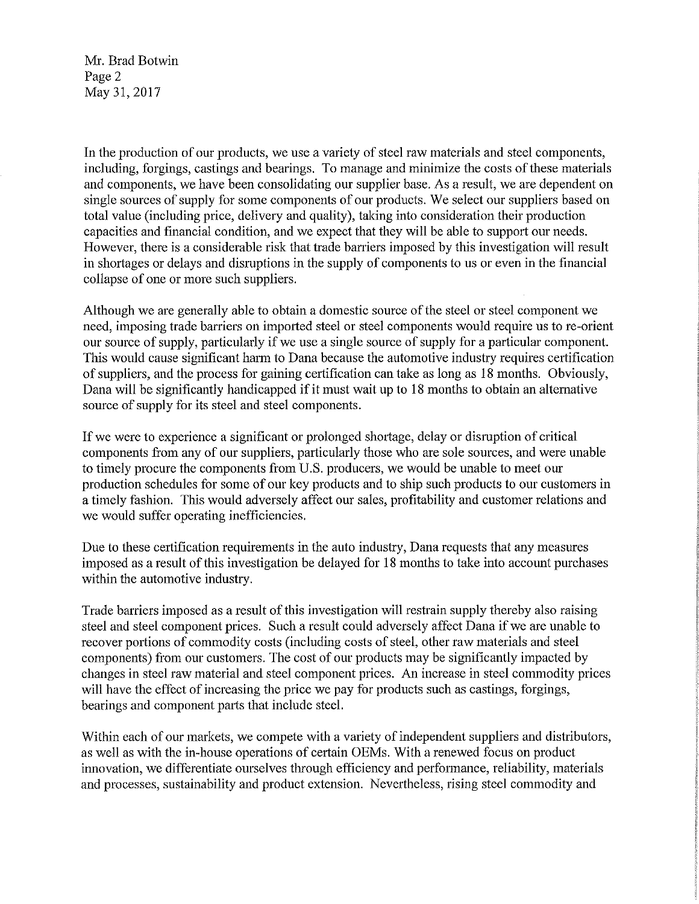Mr. Brad Botwin Page 2 May 31, 2017

In the production of our products, we use a variety of steel raw materials and steel components, including, forgings, castings and bearings. To manage and minimize the costs of these materials and components, we have been consolidating our supplier base. As a result, we are dependent on single sources of supply for some components of our products. We select our suppliers based on total value (including price, delivery and quality), taking into consideration their production capacities and financial condition, and we expect that they will be able to support our needs. However, there is a considerable risk that trade barriers imposed by this investigation will result in shortages or delays and disruptions in the supply of components to us or even in the financial collapse of one or more such suppliers.

Although we are generally able to obtain a domestic source of the steel or steel component we need, imposing trade barriers on imported steel or steel components would require us to re-orient our source of supply, particularly if we use a single source of supply for a particular component. This would cause significant harm to Dana because the automotive industry requires certification of suppliers, and the process for gaining certification can take as long as 18 months. Obviously, Dana will be significantly handicapped if it must wait up to 18 months to obtain an alternative source of supply for its steel and steel components.

If we were to experience a significant or prolonged shortage, delay or disruption of critical components from any of our suppliers, particularly those who are sole sources, and were unable to timely procure the components from U.S. producers, we would be unable to meet our production schedules for some of our key products and to ship such products to our customers in a timely fashion. This would adversely affect our sales, profitability and customer relations and we would suffer operating inefficiencies.

Due to these certification requirements in the auto industry, Dana requests that any measures imposed as a result of this investigation be delayed for 18 months to take into account purchases within the automotive industry.

Trade barriers imposed as a result of this investigation will restrain supply thereby also raising steel and steel component prices. Such a result could adversely affect Dana if we are unable to recover portions of commodity costs (including costs of steel, other raw materials and steel components) from our customers. The cost of our products may be significantly impacted by changes in steel raw material and steel component prices. An increase in steel commodity prices will have the effect of increasing the price we pay for products such as castings, forgings, bearings and component parts that include steel.

Within each of our markets, we compete with a variety of independent suppliers and distributors, as well as with the in-house operations of certain OEMs. With a renewed focus on product innovation, we differentiate ourselves through efficiency and performance, reliability, materials and processes, sustainability and product extension. Nevertheless, rising steel commodity and